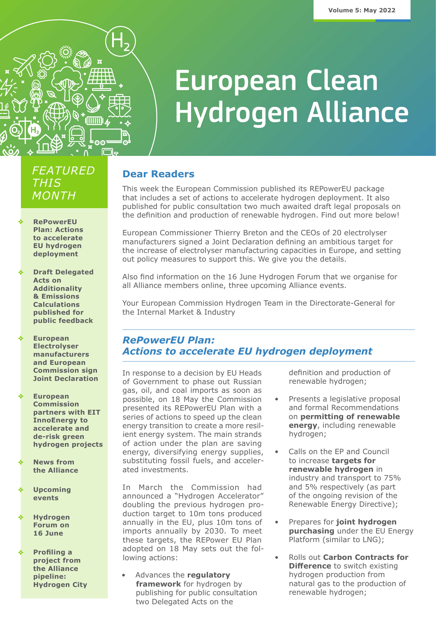

# **European Clean Hydrogen Alliance**

# *FEATURED THIS MONTH*

- **RePowerEU [Plan: Actions](#page-0-0)  to accelerate EU hydrogen deployment**
- **[Draft Delegated](#page-1-0)  Acts on Additionality & Emissions Calculations published for public feedback**
- **European Electrolyser manufacturers and European [Commission sign](#page-2-0)  Joint Declaration**
- **European Commission partners with EIT InnoEnergy to accelerate and de-risk green [hydrogen projects](#page-3-2)**
- **News from [the Alliance](#page-3-0)**
- **[Upcoming](#page-3-1)  events**
- **[Hydrogen](#page-4-0)  Forum on 16 June**
- **Profiling a project from the Alliance pipeline: [Hydrogen City](#page-4-1)**

### **Dear Readers**

This week the European Commission published its REPowerEU package that includes a set of actions to accelerate hydrogen deployment. It also published for public consultation two much awaited draft legal proposals on the definition and production of renewable hydrogen. Find out more below!

European Commissioner Thierry Breton and the CEOs of 20 electrolyser manufacturers signed a Joint Declaration defining an ambitious target for the increase of electrolyser manufacturing capacities in Europe, and setting out policy measures to support this. We give you the details.

Also find information on the 16 June Hydrogen Forum that we organise for all Alliance members online, three upcoming Alliance events.

Your European Commission Hydrogen Team in the Directorate-General for the Internal Market & Industry

#### <span id="page-0-0"></span>*RePowerEU Plan: Actions to accelerate EU hydrogen deployment*

In response to a decision by EU Heads of Government to phase out Russian gas, oil, and coal imports as soon as possible, on 18 May the Commission presented its REPowerEU Plan with a series of actions to speed up the clean energy transition to create a more resilient energy system. The main strands of action under the plan are saving energy, diversifying energy supplies, substituting fossil fuels, and accelerated investments.

In March the Commission had announced a "Hydrogen Accelerator" doubling the previous hydrogen production target to 10m tons produced annually in the EU, plus 10m tons of imports annually by 2030. To meet these targets, the REPower EU Plan adopted on 18 May sets out the following actions:

• Advances the **regulatory framework** for hydrogen by publishing for public consultation two Delegated Acts on the

definition and production of renewable hydrogen;

- Presents a legislative proposal and formal Recommendations on **permitting of renewable energy**, including renewable hydrogen;
- Calls on the EP and Council to increase **targets for renewable hydrogen** in industry and transport to 75% and 5% respectively (as part of the ongoing revision of the Renewable Energy Directive);
- Prepares for **joint hydrogen purchasing** under the EU Energy Platform (similar to LNG);
- Rolls out **Carbon Contracts for Difference** to switch existing hydrogen production from natural gas to the production of renewable hydrogen;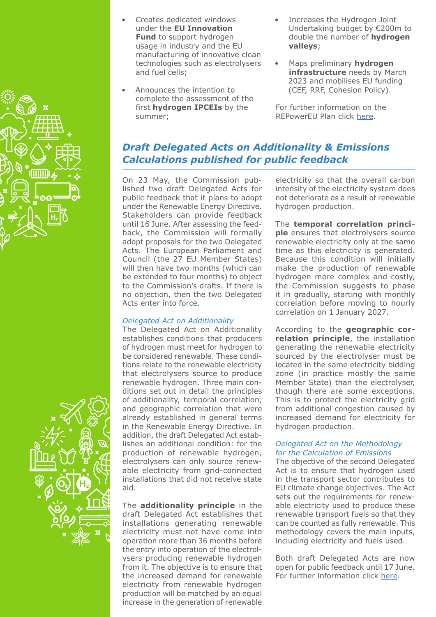

- Creates dedicated windows under the **EU Innovation Fund** to support hydrogen usage in industry and the EU manufacturing of innovative clean technologies such as electrolysers and fuel cells;
- Announces the intention to complete the assessment of the first **hydrogen IPCEIs** by the summer;
- Increases the Hydrogen Joint Undertaking budget by €200m to double the number of **hydrogen valleys**;
- Maps preliminary **hydrogen infrastructure** needs by March 2023 and mobilises EU funding (CEF, RRF, Cohesion Policy).

For further information on the REPowerEU Plan click [here.](https://ec.europa.eu/commission/presscorner/detail/en/ip_22_3131)

# <span id="page-1-0"></span>*Draft Delegated Acts on Additionality & Emissions Calculations published for public feedback*

On 23 May, the Commission published two draft Delegated Acts for public feedback that it plans to adopt under the Renewable Energy Directive. Stakeholders can provide feedback until 16 June. After assessing the feedback, the Commission will formally adopt proposals for the two Delegated Acts. The European Parliament and Council (the 27 EU Member States) will then have two months (which can be extended to four months) to object to the Commission's drafts. If there is no objection, then the two Delegated Acts enter into force.

#### *Delegated Act on Additionality*

The Delegated Act on Additionality establishes conditions that producers of hydrogen must meet for hydrogen to be considered renewable. These conditions relate to the renewable electricity that electrolysers source to produce renewable hydrogen. Three main conditions set out in detail the principles of additionality, temporal correlation, and geographic correlation that were already established in general terms in the Renewable Energy Directive. In addition, the draft Delegated Act establishes an additional condition: for the production of renewable hydrogen, electrolysers can only source renewable electricity from grid-connected installations that did not receive state aid.

The **additionality principle** in the draft Delegated Act establishes that installations generating renewable electricity must not have come into operation more than 36 months before the entry into operation of the electrolysers producing renewable hydrogen from it. The objective is to ensure that the increased demand for renewable electricity from renewable hydrogen production will be matched by an equal increase in the generation of renewable

electricity so that the overall carbon intensity of the electricity system does not deteriorate as a result of renewable hydrogen production.

The **temporal correlation principle** ensures that electrolysers source renewable electricity only at the same time as this electricity is generated. Because this condition will initially make the production of renewable hydrogen more complex and costly, the Commission suggests to phase it in gradually, starting with monthly correlation before moving to hourly correlation on 1 January 2027.

According to the **geographic correlation principle**, the installation generating the renewable electricity sourced by the electrolyser must be located in the same electricity bidding zone (in practice mostly the same Member State) than the electrolyser, though there are some exceptions. This is to protect the electricity grid from additional congestion caused by increased demand for electricity for hydrogen production.

#### *Delegated Act on the Methodology for the Calculation of Emissions*

The objective of the second Delegated Act is to ensure that hydrogen used in the transport sector contributes to EU climate change objectives. The Act sets out the requirements for renewable electricity used to produce these renewable transport fuels so that they can be counted as fully renewable. This methodology covers the main inputs, including electricity and fuels used.

Both draft Delegated Acts are now open for public feedback until 17 June. For further information click [here.](https://ec.europa.eu/info/news/commission-launches-consultation-regulatory-framework-renewable-hydrogen-2022-may-20_en)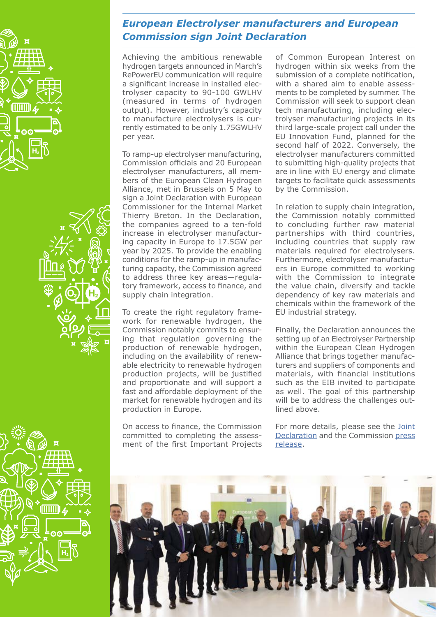



# <span id="page-2-0"></span>*European Electrolyser manufacturers and European Commission sign Joint Declaration*

Achieving the ambitious renewable hydrogen targets announced in March's RePowerEU communication will require a significant increase in installed electrolyser capacity to 90-100 GWLHV (measured in terms of hydrogen output). However, industry's capacity to manufacture electrolysers is currently estimated to be only 1.75GWLHV per year.

To ramp-up electrolyser manufacturing, Commission officials and 20 European electrolyser manufacturers, all members of the European Clean Hydrogen Alliance, met in Brussels on 5 May to sign a Joint Declaration with European Commissioner for the Internal Market Thierry Breton. In the Declaration, the companies agreed to a ten-fold increase in electrolyser manufacturing capacity in Europe to 17.5GW per year by 2025. To provide the enabling conditions for the ramp-up in manufacturing capacity, the Commission agreed to address three key areas—regulatory framework, access to finance, and supply chain integration.

To create the right regulatory framework for renewable hydrogen, the Commission notably commits to ensuring that regulation governing the production of renewable hydrogen, including on the availability of renewable electricity to renewable hydrogen production projects, will be justified and proportionate and will support a fast and affordable deployment of the market for renewable hydrogen and its production in Europe.

On access to finance, the Commission committed to completing the assessment of the first Important Projects

of Common European Interest on hydrogen within six weeks from the submission of a complete notification, with a shared aim to enable assessments to be completed by summer. The Commission will seek to support clean tech manufacturing, including electrolyser manufacturing projects in its third large-scale project call under the EU Innovation Fund, planned for the second half of 2022. Conversely, the electrolyser manufacturers committed to submitting high-quality projects that are in line with EU energy and climate targets to facilitate quick assessments by the Commission.

In relation to supply chain integration, the Commission notably committed to concluding further raw material partnerships with third countries, including countries that supply raw materials required for electrolysers. Furthermore, electrolyser manufacturers in Europe committed to working with the Commission to integrate the value chain, diversify and tackle dependency of key raw materials and chemicals within the framework of the EU industrial strategy.

Finally, the Declaration announces the setting up of an Electrolyser Partnership within the European Clean Hydrogen Alliance that brings together manufacturers and suppliers of components and materials, with financial institutions such as the EIB invited to participate as well. The goal of this partnership will be to address the challenges outlined above.

For more details, please see the **Joint** [Declaration](https://ec.europa.eu/docsroom/documents/50014) and the Commission [press](https://ec.europa.eu/commission/presscorner/detail/en/ip_22_2829)  [release](https://ec.europa.eu/commission/presscorner/detail/en/ip_22_2829).



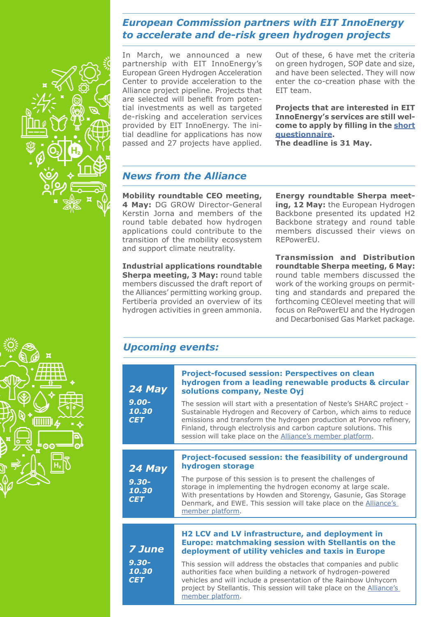#### <span id="page-3-2"></span>*European Commission partners with EIT InnoEnergy to accelerate and de-risk green hydrogen projects*



In March, we announced a new partnership with EIT InnoEnergy's European Green Hydrogen Acceleration Center to provide acceleration to the Alliance project pipeline. Projects that are selected will benefit from potential investments as well as targeted de-risking and acceleration services provided by EIT InnoEnergy. The initial deadline for applications has now passed and 27 projects have applied. Out of these, 6 have met the criteria on green hydrogen, SOP date and size, and have been selected. They will now enter the co-creation phase with the EIT team.

**Projects that are interested in EIT InnoEnergy's services are still welcome to apply by filling in the [short](https://forms.office.com/Pages/ResponsePage.aspx?id=hgteQ652KUaqBLgdrxjEc2YIE8_ghddGkOhYnhFW3-lUN1JaU1czVTQ1U001TTk5TU9YQlE5MjYxSiQlQCN0PWcu&wdLOR=cC2161EC9-6EC2-4582-8A81-858D82C31023)  [questionnaire.](https://forms.office.com/Pages/ResponsePage.aspx?id=hgteQ652KUaqBLgdrxjEc2YIE8_ghddGkOhYnhFW3-lUN1JaU1czVTQ1U001TTk5TU9YQlE5MjYxSiQlQCN0PWcu&wdLOR=cC2161EC9-6EC2-4582-8A81-858D82C31023)** 

**The deadline is 31 May.** 

# <span id="page-3-0"></span>*News from the Alliance*

**Mobility roundtable CEO meeting, 4 May:** DG GROW Director-General Kerstin Jorna and members of the round table debated how hydrogen applications could contribute to the transition of the mobility ecosystem and support climate neutrality.

**Industrial applications roundtable Sherpa meeting, 3 May:** round table members discussed the draft report of the Alliances' permitting working group. Fertiberia provided an overview of its hydrogen activities in green ammonia.

**Energy roundtable Sherpa meet**ing, 12 May: the European Hydrogen Backbone presented its updated H2 Backbone strategy and round table members discussed their views on REPowerEU.

**Transmission and Distribution roundtable Sherpa meeting, 6 May:**  round table members discussed the work of the working groups on permitting and standards and prepared the forthcoming CEOlevel meeting that will focus on RePowerEU and the Hydrogen and Decarbonised Gas Market package.

#### <span id="page-3-1"></span>*Upcoming events:*

| 24 May<br>$9.00 -$<br>10.30<br><b>CET</b>        | <b>Project-focused session: Perspectives on clean</b><br>hydrogen from a leading renewable products & circular<br>solutions company, Neste Oyj<br>The session will start with a presentation of Neste's SHARC project -<br>Sustainable Hydrogen and Recovery of Carbon, which aims to reduce<br>emissions and transform the hydrogen production at Porvoo refinery,<br>Finland, through electrolysis and carbon capture solutions. This<br>session will take place on the Alliance's member platform. |
|--------------------------------------------------|-------------------------------------------------------------------------------------------------------------------------------------------------------------------------------------------------------------------------------------------------------------------------------------------------------------------------------------------------------------------------------------------------------------------------------------------------------------------------------------------------------|
| 24 May<br>$9.30 -$<br>10.30<br><b>CET</b>        | Project-focused session: the feasibility of underground<br>hydrogen storage<br>The purpose of this session is to present the challenges of<br>storage in implementing the hydrogen economy at large scale.<br>With presentations by Howden and Storengy, Gasunie, Gas Storage<br>Denmark, and EWE. This session will take place on the Alliance's<br>member platform.                                                                                                                                 |
| <b>7 June</b><br>$9.30 -$<br>10.30<br><b>CET</b> | H2 LCV and LV infrastructure, and deployment in<br><b>Europe: matchmaking session with Stellantis on the</b><br>deployment of utility vehicles and taxis in Europe<br>This session will address the obstacles that companies and public<br>authorities face when building a network of hydrogen-powered<br>vehicles and will include a presentation of the Rainbow Unhycorn<br>project by Stellantis. This session will take place on the Alliance's<br>member platform.                              |

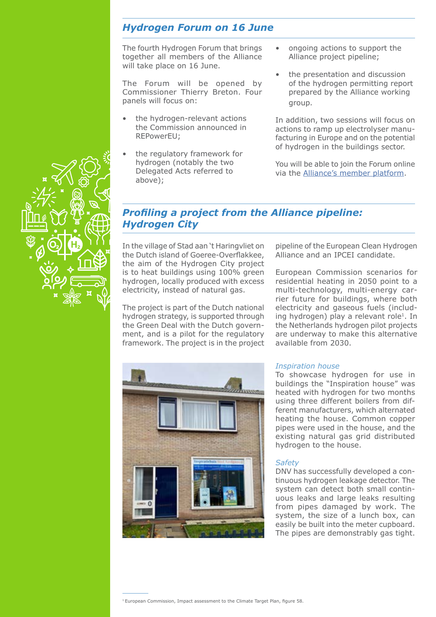#### <span id="page-4-0"></span>*Hydrogen Forum on 16 June*

The fourth Hydrogen Forum that brings together all members of the Alliance will take place on 16 June.

The Forum will be opened by Commissioner Thierry Breton. Four panels will focus on:

- the hydrogen-relevant actions the Commission announced in REPowerEU;
- the regulatory framework for hydrogen (notably the two Delegated Acts referred to above);
- ongoing actions to support the Alliance project pipeline;
- the presentation and discussion of the hydrogen permitting report prepared by the Alliance working group.

In addition, two sessions will focus on actions to ramp up electrolyser manufacturing in Europe and on the potential of hydrogen in the buildings sector.

You will be able to join the Forum online via the [Alliance's member platform.](https://european-hydrogen-forum-2021.b2match.io/agenda)

## <span id="page-4-1"></span>*Profiling a project from the Alliance pipeline: Hydrogen City*

In the village of Stad aan 't Haringvliet on the Dutch island of Goeree-Overflakkee, the aim of the Hydrogen City project is to heat buildings using 100% green hydrogen, locally produced with excess electricity, instead of natural gas.

The project is part of the Dutch national hydrogen strategy, is supported through the Green Deal with the Dutch government, and is a pilot for the regulatory framework. The project is in the project pipeline of the European Clean Hydrogen Alliance and an IPCEI candidate.

European Commission scenarios for residential heating in 2050 point to a multi-technology, multi-energy carrier future for buildings, where both electricity and gaseous fuels (including hydrogen) play a relevant role<sup>1</sup>. In the Netherlands hydrogen pilot projects are underway to make this alternative available from 2030.



#### *Inspiration house*

To showcase hydrogen for use in buildings the "Inspiration house" was heated with hydrogen for two months using three different boilers from different manufacturers, which alternated heating the house. Common copper pipes were used in the house, and the existing natural gas grid distributed hydrogen to the house.

#### *Safety*

DNV has successfully developed a continuous hydrogen leakage detector. The system can detect both small continuous leaks and large leaks resulting from pipes damaged by work. The system, the size of a lunch box, can easily be built into the meter cupboard. The pipes are demonstrably gas tight.